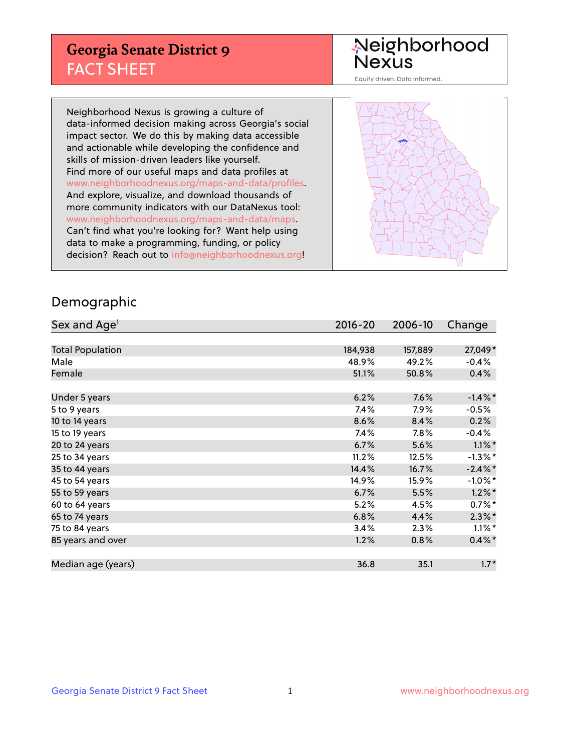## **Georgia Senate District 9** FACT SHEET

# Neighborhood<br>Nexus

Equity driven. Data informed.

Neighborhood Nexus is growing a culture of data-informed decision making across Georgia's social impact sector. We do this by making data accessible and actionable while developing the confidence and skills of mission-driven leaders like yourself. Find more of our useful maps and data profiles at www.neighborhoodnexus.org/maps-and-data/profiles. And explore, visualize, and download thousands of more community indicators with our DataNexus tool: www.neighborhoodnexus.org/maps-and-data/maps. Can't find what you're looking for? Want help using data to make a programming, funding, or policy decision? Reach out to [info@neighborhoodnexus.org!](mailto:info@neighborhoodnexus.org)



### Demographic

| Sex and Age <sup>1</sup> | $2016 - 20$ | 2006-10 | Change               |
|--------------------------|-------------|---------|----------------------|
|                          |             |         |                      |
| <b>Total Population</b>  | 184,938     | 157,889 | 27,049*              |
| Male                     | 48.9%       | 49.2%   | $-0.4%$              |
| Female                   | 51.1%       | 50.8%   | 0.4%                 |
|                          |             |         |                      |
| Under 5 years            | 6.2%        | 7.6%    | $-1.4\%$ *           |
| 5 to 9 years             | 7.4%        | $7.9\%$ | $-0.5%$              |
| 10 to 14 years           | 8.6%        | 8.4%    | 0.2%                 |
| 15 to 19 years           | 7.4%        | 7.8%    | $-0.4%$              |
| 20 to 24 years           | 6.7%        | 5.6%    | $1.1\%$ *            |
| 25 to 34 years           | 11.2%       | 12.5%   | $-1.3\%$ *           |
| 35 to 44 years           | 14.4%       | 16.7%   | $-2.4\%$ *           |
| 45 to 54 years           | 14.9%       | 15.9%   | $-1.0\%$ *           |
| 55 to 59 years           | 6.7%        | 5.5%    | $1.2\%$ *            |
| 60 to 64 years           | 5.2%        | 4.5%    | $0.7\%$ *            |
| 65 to 74 years           | 6.8%        | 4.4%    | $2.3\%$ *            |
| 75 to 84 years           | 3.4%        | 2.3%    | $1.1\%$ <sup>*</sup> |
| 85 years and over        | 1.2%        | 0.8%    | $0.4\% *$            |
|                          |             |         |                      |
| Median age (years)       | 36.8        | 35.1    | $1.7*$               |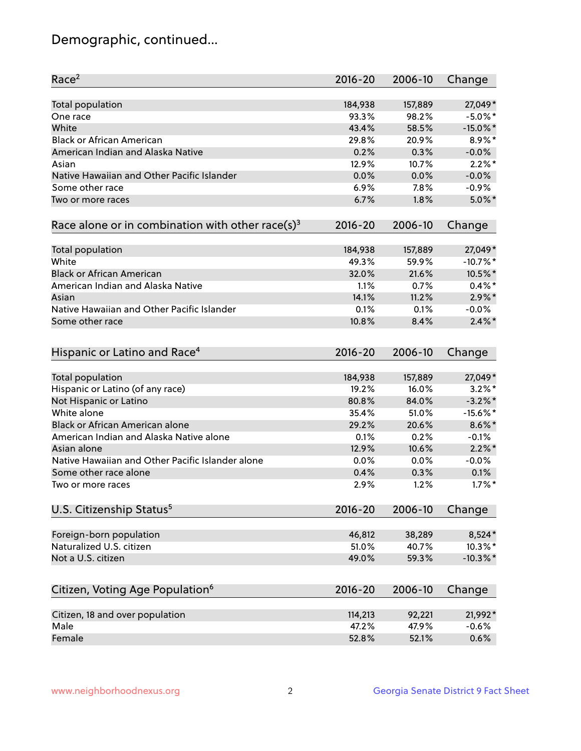## Demographic, continued...

| Race <sup>2</sup>                                            | $2016 - 20$ | 2006-10 | Change      |
|--------------------------------------------------------------|-------------|---------|-------------|
| <b>Total population</b>                                      | 184,938     | 157,889 | 27,049*     |
| One race                                                     | 93.3%       | 98.2%   | $-5.0\%$ *  |
| White                                                        | 43.4%       | 58.5%   | $-15.0\%$ * |
| <b>Black or African American</b>                             | 29.8%       | 20.9%   | 8.9%*       |
| American Indian and Alaska Native                            | 0.2%        | 0.3%    | $-0.0%$     |
| Asian                                                        | 12.9%       | 10.7%   | $2.2\%$ *   |
| Native Hawaiian and Other Pacific Islander                   | 0.0%        | 0.0%    | $-0.0%$     |
| Some other race                                              | 6.9%        | 7.8%    | $-0.9%$     |
| Two or more races                                            | 6.7%        | 1.8%    | $5.0\%$ *   |
| Race alone or in combination with other race(s) <sup>3</sup> | $2016 - 20$ | 2006-10 | Change      |
| Total population                                             | 184,938     | 157,889 | 27,049*     |
| White                                                        | 49.3%       | 59.9%   | $-10.7%$ *  |
| <b>Black or African American</b>                             | 32.0%       | 21.6%   | 10.5%*      |
| American Indian and Alaska Native                            | 1.1%        | 0.7%    | $0.4\%$ *   |
| Asian                                                        | 14.1%       | 11.2%   | $2.9\%$ *   |
| Native Hawaiian and Other Pacific Islander                   | 0.1%        | 0.1%    | $-0.0\%$    |
| Some other race                                              | 10.8%       | 8.4%    | $2.4\%$ *   |
| Hispanic or Latino and Race <sup>4</sup>                     | $2016 - 20$ | 2006-10 | Change      |
| <b>Total population</b>                                      | 184,938     | 157,889 | 27,049*     |
| Hispanic or Latino (of any race)                             | 19.2%       | 16.0%   | $3.2\%$ *   |
| Not Hispanic or Latino                                       | 80.8%       | 84.0%   | $-3.2\%$ *  |
| White alone                                                  | 35.4%       | 51.0%   | $-15.6\%$ * |
| <b>Black or African American alone</b>                       | 29.2%       | 20.6%   | $8.6\%$ *   |
| American Indian and Alaska Native alone                      | 0.1%        | 0.2%    | $-0.1%$     |
| Asian alone                                                  | 12.9%       | 10.6%   | $2.2\%$ *   |
| Native Hawaiian and Other Pacific Islander alone             | 0.0%        | 0.0%    | $-0.0%$     |
| Some other race alone                                        | 0.4%        | 0.3%    | 0.1%        |
| Two or more races                                            | 2.9%        | 1.2%    | $1.7\%$ *   |
| U.S. Citizenship Status <sup>5</sup>                         | $2016 - 20$ | 2006-10 | Change      |
| Foreign-born population                                      | 46,812      | 38,289  | 8,524*      |
| Naturalized U.S. citizen                                     | 51.0%       | 40.7%   | $10.3\%$ *  |
| Not a U.S. citizen                                           | 49.0%       | 59.3%   | $-10.3\%$ * |
|                                                              |             |         |             |
| Citizen, Voting Age Population <sup>6</sup>                  | 2016-20     | 2006-10 | Change      |
| Citizen, 18 and over population                              | 114,213     | 92,221  | 21,992*     |
| Male                                                         | 47.2%       | 47.9%   | $-0.6%$     |
| Female                                                       | 52.8%       | 52.1%   | 0.6%        |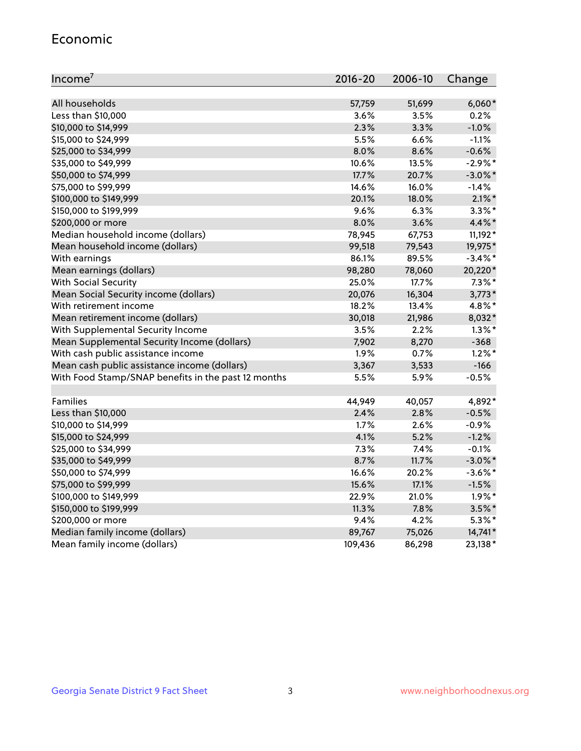#### Economic

| Income <sup>7</sup>                                 | $2016 - 20$ | 2006-10 | Change     |
|-----------------------------------------------------|-------------|---------|------------|
|                                                     |             |         |            |
| All households                                      | 57,759      | 51,699  | $6,060*$   |
| Less than \$10,000                                  | 3.6%        | 3.5%    | 0.2%       |
| \$10,000 to \$14,999                                | 2.3%        | 3.3%    | $-1.0%$    |
| \$15,000 to \$24,999                                | 5.5%        | 6.6%    | $-1.1%$    |
| \$25,000 to \$34,999                                | 8.0%        | 8.6%    | $-0.6%$    |
| \$35,000 to \$49,999                                | 10.6%       | 13.5%   | $-2.9%$ *  |
| \$50,000 to \$74,999                                | 17.7%       | 20.7%   | $-3.0\%$ * |
| \$75,000 to \$99,999                                | 14.6%       | 16.0%   | $-1.4%$    |
| \$100,000 to \$149,999                              | 20.1%       | 18.0%   | $2.1\%$ *  |
| \$150,000 to \$199,999                              | 9.6%        | 6.3%    | $3.3\%$ *  |
| \$200,000 or more                                   | 8.0%        | 3.6%    | $4.4\%$ *  |
| Median household income (dollars)                   | 78,945      | 67,753  | 11,192*    |
| Mean household income (dollars)                     | 99,518      | 79,543  | 19,975*    |
| With earnings                                       | 86.1%       | 89.5%   | $-3.4\%$ * |
| Mean earnings (dollars)                             | 98,280      | 78,060  | 20,220*    |
| <b>With Social Security</b>                         | 25.0%       | 17.7%   | $7.3\%$ *  |
| Mean Social Security income (dollars)               | 20,076      | 16,304  | $3,773*$   |
| With retirement income                              | 18.2%       | 13.4%   | 4.8%*      |
| Mean retirement income (dollars)                    | 30,018      | 21,986  | 8,032*     |
| With Supplemental Security Income                   | 3.5%        | 2.2%    | $1.3\%$ *  |
| Mean Supplemental Security Income (dollars)         | 7,902       | 8,270   | $-368$     |
| With cash public assistance income                  | 1.9%        | 0.7%    | $1.2\%$ *  |
| Mean cash public assistance income (dollars)        | 3,367       | 3,533   | $-166$     |
| With Food Stamp/SNAP benefits in the past 12 months | 5.5%        | 5.9%    | $-0.5%$    |
|                                                     |             |         |            |
| Families                                            | 44,949      | 40,057  | 4,892*     |
| Less than \$10,000                                  | 2.4%        | 2.8%    | $-0.5%$    |
| \$10,000 to \$14,999                                | 1.7%        | 2.6%    | $-0.9%$    |
| \$15,000 to \$24,999                                | 4.1%        | 5.2%    | $-1.2%$    |
| \$25,000 to \$34,999                                | 7.3%        | 7.4%    | $-0.1%$    |
| \$35,000 to \$49,999                                | 8.7%        | 11.7%   | $-3.0\%$ * |
| \$50,000 to \$74,999                                | 16.6%       | 20.2%   | $-3.6\%$ * |
| \$75,000 to \$99,999                                | 15.6%       | 17.1%   | $-1.5%$    |
| \$100,000 to \$149,999                              | 22.9%       | 21.0%   | $1.9\%$ *  |
| \$150,000 to \$199,999                              | 11.3%       | 7.8%    | $3.5\%$ *  |
| \$200,000 or more                                   | 9.4%        | 4.2%    | $5.3\%$ *  |
| Median family income (dollars)                      | 89,767      | 75,026  | 14,741*    |
| Mean family income (dollars)                        | 109,436     | 86,298  | 23,138*    |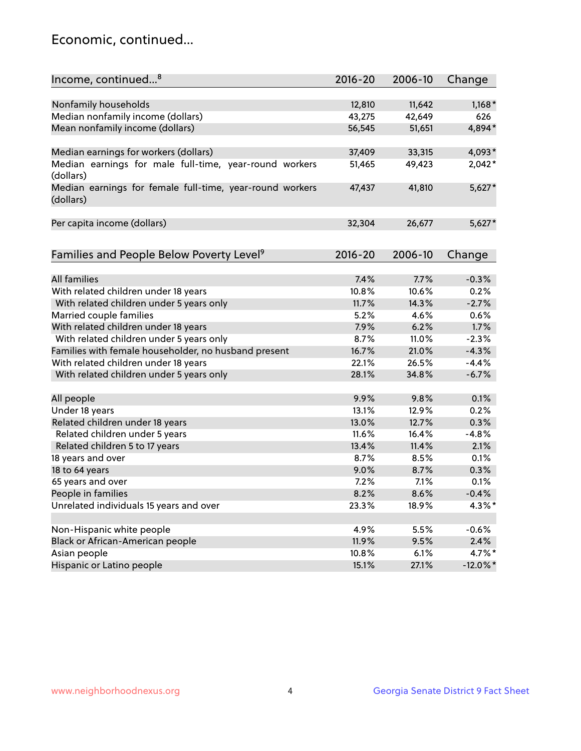## Economic, continued...

| Income, continued <sup>8</sup>                                        | $2016 - 20$ | 2006-10 | Change      |
|-----------------------------------------------------------------------|-------------|---------|-------------|
|                                                                       |             |         |             |
| Nonfamily households                                                  | 12,810      | 11,642  | $1,168*$    |
| Median nonfamily income (dollars)                                     | 43,275      | 42,649  | 626         |
| Mean nonfamily income (dollars)                                       | 56,545      | 51,651  | 4,894*      |
| Median earnings for workers (dollars)                                 | 37,409      | 33,315  | 4,093*      |
| Median earnings for male full-time, year-round workers<br>(dollars)   | 51,465      | 49,423  | $2,042*$    |
| Median earnings for female full-time, year-round workers<br>(dollars) | 47,437      | 41,810  | $5,627*$    |
| Per capita income (dollars)                                           | 32,304      | 26,677  | $5,627*$    |
| Families and People Below Poverty Level <sup>9</sup>                  | $2016 - 20$ | 2006-10 | Change      |
|                                                                       |             |         |             |
| <b>All families</b>                                                   | 7.4%        | 7.7%    | $-0.3%$     |
| With related children under 18 years                                  | 10.8%       | 10.6%   | 0.2%        |
| With related children under 5 years only                              | 11.7%       | 14.3%   | $-2.7%$     |
| Married couple families                                               | 5.2%        | 4.6%    | 0.6%        |
| With related children under 18 years                                  | 7.9%        | 6.2%    | 1.7%        |
| With related children under 5 years only                              | 8.7%        | 11.0%   | $-2.3%$     |
| Families with female householder, no husband present                  | 16.7%       | 21.0%   | $-4.3%$     |
| With related children under 18 years                                  | 22.1%       | 26.5%   | $-4.4%$     |
| With related children under 5 years only                              | 28.1%       | 34.8%   | $-6.7%$     |
|                                                                       |             |         |             |
| All people                                                            | 9.9%        | 9.8%    | 0.1%        |
| Under 18 years                                                        | 13.1%       | 12.9%   | 0.2%        |
| Related children under 18 years                                       | 13.0%       | 12.7%   | 0.3%        |
| Related children under 5 years                                        | 11.6%       | 16.4%   | $-4.8%$     |
| Related children 5 to 17 years                                        | 13.4%       | 11.4%   | 2.1%        |
| 18 years and over                                                     | 8.7%        | 8.5%    | 0.1%        |
| 18 to 64 years                                                        | 9.0%        | 8.7%    | 0.3%        |
| 65 years and over                                                     | 7.2%        | 7.1%    | 0.1%        |
| People in families                                                    | 8.2%        | 8.6%    | $-0.4%$     |
| Unrelated individuals 15 years and over                               | 23.3%       | 18.9%   | 4.3%*       |
|                                                                       |             |         |             |
| Non-Hispanic white people                                             | 4.9%        | 5.5%    | $-0.6%$     |
| Black or African-American people                                      | 11.9%       | 9.5%    | 2.4%        |
| Asian people                                                          | 10.8%       | 6.1%    | 4.7%*       |
| Hispanic or Latino people                                             | 15.1%       | 27.1%   | $-12.0\%$ * |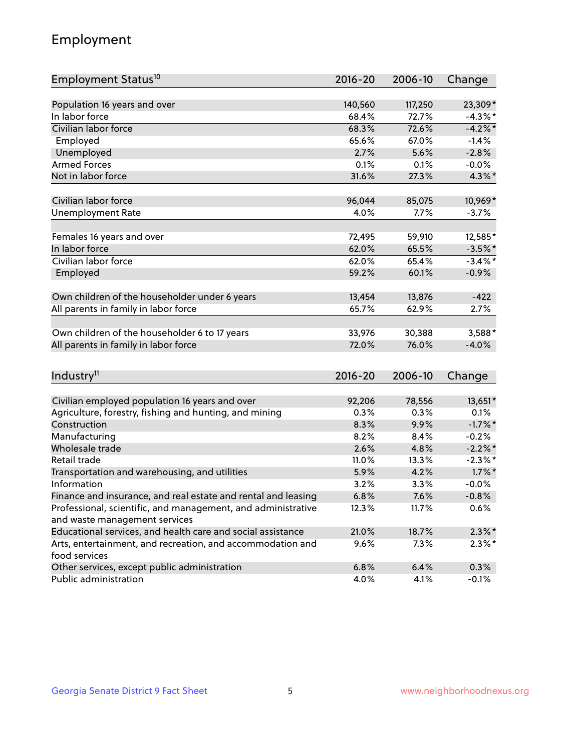## Employment

| Employment Status <sup>10</sup>                               | $2016 - 20$ | 2006-10 | Change     |
|---------------------------------------------------------------|-------------|---------|------------|
|                                                               |             |         |            |
| Population 16 years and over                                  | 140,560     | 117,250 | 23,309*    |
| In labor force                                                | 68.4%       | 72.7%   | $-4.3\%$ * |
| Civilian labor force                                          | 68.3%       | 72.6%   | $-4.2%$    |
| Employed                                                      | 65.6%       | 67.0%   | $-1.4%$    |
| Unemployed                                                    | 2.7%        | 5.6%    | $-2.8%$    |
| <b>Armed Forces</b>                                           | 0.1%        | 0.1%    | $-0.0%$    |
| Not in labor force                                            | 31.6%       | 27.3%   | $4.3\%$ *  |
| Civilian labor force                                          | 96,044      | 85,075  | 10,969*    |
| <b>Unemployment Rate</b>                                      | 4.0%        | 7.7%    | $-3.7%$    |
|                                                               |             |         |            |
| Females 16 years and over                                     | 72,495      | 59,910  | 12,585*    |
| In labor force                                                | 62.0%       | 65.5%   | $-3.5%$ *  |
| Civilian labor force                                          | 62.0%       | 65.4%   | $-3.4\%$ * |
| Employed                                                      | 59.2%       | 60.1%   | $-0.9%$    |
| Own children of the householder under 6 years                 | 13,454      | 13,876  | $-422$     |
| All parents in family in labor force                          | 65.7%       | 62.9%   | 2.7%       |
|                                                               |             |         |            |
| Own children of the householder 6 to 17 years                 | 33,976      | 30,388  | 3,588*     |
| All parents in family in labor force                          | 72.0%       | 76.0%   | $-4.0%$    |
|                                                               |             |         |            |
| Industry <sup>11</sup>                                        | $2016 - 20$ | 2006-10 | Change     |
| Civilian employed population 16 years and over                | 92,206      | 78,556  | 13,651*    |
| Agriculture, forestry, fishing and hunting, and mining        | 0.3%        | 0.3%    | 0.1%       |
| Construction                                                  | 8.3%        | 9.9%    | $-1.7%$ *  |
| Manufacturing                                                 | 8.2%        | 8.4%    | $-0.2%$    |
| Wholesale trade                                               | 2.6%        | 4.8%    | $-2.2\%$ * |
| Retail trade                                                  | 11.0%       | 13.3%   | $-2.3\%$ * |
| Transportation and warehousing, and utilities                 | 5.9%        | 4.2%    | $1.7\%$ *  |
| Information                                                   | 3.2%        | 3.3%    | $-0.0%$    |
| Finance and insurance, and real estate and rental and leasing | 6.8%        | 7.6%    | $-0.8%$    |
| Professional, scientific, and management, and administrative  | 12.3%       | 11.7%   | 0.6%       |
| and waste management services                                 |             |         |            |
| Educational services, and health care and social assistance   | 21.0%       | 18.7%   | $2.3\%$ *  |
| Arts, entertainment, and recreation, and accommodation and    | 9.6%        | 7.3%    | $2.3\%$ *  |
| food services                                                 |             |         |            |
| Other services, except public administration                  | 6.8%        | 6.4%    | 0.3%       |
| Public administration                                         | 4.0%        | 4.1%    | $-0.1%$    |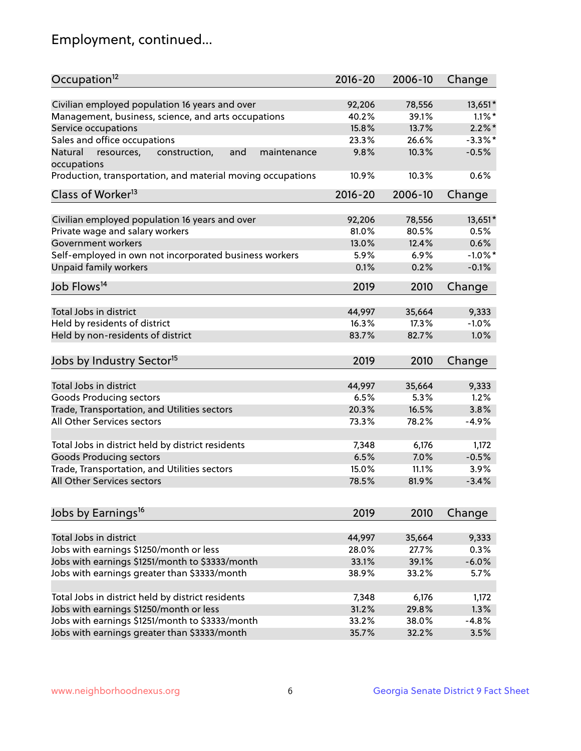## Employment, continued...

| Occupation <sup>12</sup>                                     | $2016 - 20$ | 2006-10 | Change     |
|--------------------------------------------------------------|-------------|---------|------------|
| Civilian employed population 16 years and over               | 92,206      | 78,556  | 13,651*    |
| Management, business, science, and arts occupations          | 40.2%       | 39.1%   | $1.1\%$ *  |
| Service occupations                                          | 15.8%       | 13.7%   | $2.2\%$ *  |
| Sales and office occupations                                 | 23.3%       | 26.6%   | $-3.3\%$ * |
| and<br>maintenance<br>Natural<br>resources,<br>construction, | 9.8%        | 10.3%   | $-0.5%$    |
| occupations                                                  |             |         |            |
| Production, transportation, and material moving occupations  | 10.9%       | 10.3%   | 0.6%       |
| Class of Worker <sup>13</sup>                                | $2016 - 20$ | 2006-10 | Change     |
|                                                              |             |         |            |
| Civilian employed population 16 years and over               | 92,206      | 78,556  | 13,651*    |
| Private wage and salary workers                              | 81.0%       | 80.5%   | 0.5%       |
| Government workers                                           | 13.0%       | 12.4%   | 0.6%       |
| Self-employed in own not incorporated business workers       | 5.9%        | 6.9%    | $-1.0\%$ * |
| Unpaid family workers                                        | 0.1%        | 0.2%    | $-0.1%$    |
| Job Flows <sup>14</sup>                                      | 2019        | 2010    | Change     |
|                                                              |             |         |            |
| Total Jobs in district                                       | 44,997      | 35,664  | 9,333      |
| Held by residents of district                                | 16.3%       | 17.3%   | $-1.0%$    |
| Held by non-residents of district                            | 83.7%       | 82.7%   | 1.0%       |
| Jobs by Industry Sector <sup>15</sup>                        | 2019        | 2010    | Change     |
| Total Jobs in district                                       | 44,997      | 35,664  | 9,333      |
|                                                              | 6.5%        | 5.3%    | 1.2%       |
| Goods Producing sectors                                      |             |         | 3.8%       |
| Trade, Transportation, and Utilities sectors                 | 20.3%       | 16.5%   |            |
| All Other Services sectors                                   | 73.3%       | 78.2%   | $-4.9%$    |
| Total Jobs in district held by district residents            | 7,348       | 6,176   | 1,172      |
| <b>Goods Producing sectors</b>                               | 6.5%        | 7.0%    | $-0.5%$    |
| Trade, Transportation, and Utilities sectors                 | 15.0%       | 11.1%   | 3.9%       |
| All Other Services sectors                                   | 78.5%       | 81.9%   | $-3.4%$    |
|                                                              |             |         |            |
| Jobs by Earnings <sup>16</sup>                               | 2019        | 2010    | Change     |
|                                                              |             |         |            |
| Total Jobs in district                                       | 44,997      | 35,664  | 9,333      |
| Jobs with earnings \$1250/month or less                      | 28.0%       | 27.7%   | 0.3%       |
| Jobs with earnings \$1251/month to \$3333/month              | 33.1%       | 39.1%   | $-6.0%$    |
| Jobs with earnings greater than \$3333/month                 | 38.9%       | 33.2%   | 5.7%       |
| Total Jobs in district held by district residents            | 7,348       | 6,176   | 1,172      |
| Jobs with earnings \$1250/month or less                      | 31.2%       | 29.8%   | 1.3%       |
| Jobs with earnings \$1251/month to \$3333/month              | 33.2%       | 38.0%   | $-4.8%$    |
| Jobs with earnings greater than \$3333/month                 | 35.7%       | 32.2%   | 3.5%       |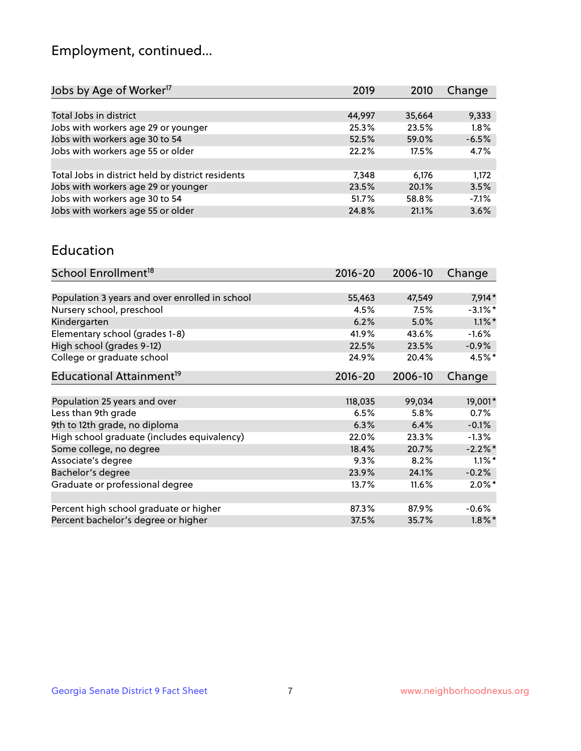## Employment, continued...

| Change  |
|---------|
|         |
| 9,333   |
| 1.8%    |
| $-6.5%$ |
| 4.7%    |
|         |
| 1,172   |
| 3.5%    |
| $-7.1%$ |
| 3.6%    |
|         |

#### Education

| School Enrollment <sup>18</sup>                | $2016 - 20$ | 2006-10 | Change     |
|------------------------------------------------|-------------|---------|------------|
|                                                |             |         |            |
| Population 3 years and over enrolled in school | 55,463      | 47,549  | $7,914*$   |
| Nursery school, preschool                      | 4.5%        | 7.5%    | $-3.1\%$ * |
| Kindergarten                                   | 6.2%        | 5.0%    | $1.1\%$ *  |
| Elementary school (grades 1-8)                 | 41.9%       | 43.6%   | $-1.6%$    |
| High school (grades 9-12)                      | 22.5%       | 23.5%   | $-0.9\%$   |
| College or graduate school                     | 24.9%       | 20.4%   | $4.5%$ *   |
| Educational Attainment <sup>19</sup>           | $2016 - 20$ | 2006-10 | Change     |
|                                                |             |         |            |
| Population 25 years and over                   | 118,035     | 99,034  | 19,001*    |
| Less than 9th grade                            | 6.5%        | 5.8%    | 0.7%       |
| 9th to 12th grade, no diploma                  | 6.3%        | 6.4%    | $-0.1%$    |
| High school graduate (includes equivalency)    | 22.0%       | 23.3%   | $-1.3\%$   |
| Some college, no degree                        | 18.4%       | 20.7%   | $-2.2%$    |
| Associate's degree                             | 9.3%        | 8.2%    | $1.1\%$ *  |
| Bachelor's degree                              | 23.9%       | 24.1%   | $-0.2%$    |
| Graduate or professional degree                | 13.7%       | 11.6%   | $2.0\%$ *  |
|                                                |             |         |            |
| Percent high school graduate or higher         | 87.3%       | 87.9%   | $-0.6%$    |
| Percent bachelor's degree or higher            | 37.5%       | 35.7%   | $1.8\%$ *  |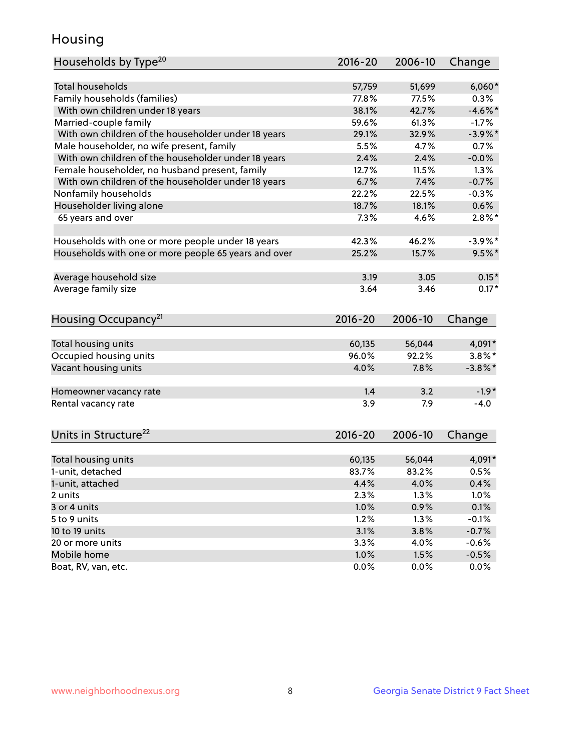## Housing

| Households by Type <sup>20</sup>                     | 2016-20     | 2006-10 | Change     |
|------------------------------------------------------|-------------|---------|------------|
|                                                      |             |         |            |
| <b>Total households</b>                              | 57,759      | 51,699  | $6,060*$   |
| Family households (families)                         | 77.8%       | 77.5%   | 0.3%       |
| With own children under 18 years                     | 38.1%       | 42.7%   | $-4.6\%$ * |
| Married-couple family                                | 59.6%       | 61.3%   | $-1.7%$    |
| With own children of the householder under 18 years  | 29.1%       | 32.9%   | $-3.9\%$ * |
| Male householder, no wife present, family            | 5.5%        | 4.7%    | 0.7%       |
| With own children of the householder under 18 years  | 2.4%        | 2.4%    | $-0.0%$    |
| Female householder, no husband present, family       | 12.7%       | 11.5%   | 1.3%       |
| With own children of the householder under 18 years  | 6.7%        | 7.4%    | $-0.7%$    |
| Nonfamily households                                 | 22.2%       | 22.5%   | $-0.3%$    |
| Householder living alone                             | 18.7%       | 18.1%   | 0.6%       |
| 65 years and over                                    | 7.3%        | 4.6%    | $2.8\%$ *  |
|                                                      |             |         |            |
| Households with one or more people under 18 years    | 42.3%       | 46.2%   | $-3.9\%$ * |
| Households with one or more people 65 years and over | 25.2%       | 15.7%   | $9.5%$ *   |
|                                                      |             |         |            |
| Average household size                               | 3.19        | 3.05    | $0.15*$    |
| Average family size                                  | 3.64        | 3.46    | $0.17*$    |
|                                                      | 2016-20     | 2006-10 |            |
| Housing Occupancy <sup>21</sup>                      |             |         | Change     |
| Total housing units                                  | 60,135      | 56,044  | 4,091*     |
| Occupied housing units                               | 96.0%       | 92.2%   | $3.8\%$ *  |
| Vacant housing units                                 | 4.0%        | 7.8%    | $-3.8\%$ * |
|                                                      |             |         |            |
| Homeowner vacancy rate                               | 1.4         | 3.2     | $-1.9*$    |
| Rental vacancy rate                                  | 3.9         | 7.9     | $-4.0$     |
|                                                      |             |         |            |
| Units in Structure <sup>22</sup>                     | $2016 - 20$ | 2006-10 | Change     |
|                                                      |             |         |            |
| Total housing units                                  | 60,135      | 56,044  | 4,091*     |
| 1-unit, detached                                     | 83.7%       | 83.2%   | 0.5%       |
| 1-unit, attached                                     | 4.4%        | 4.0%    | 0.4%       |
| 2 units                                              | 2.3%        | 1.3%    | 1.0%       |
| 3 or 4 units                                         | 1.0%        | 0.9%    | 0.1%       |
| 5 to 9 units                                         | 1.2%        | 1.3%    | $-0.1%$    |
| 10 to 19 units                                       | 3.1%        | 3.8%    | $-0.7%$    |
| 20 or more units                                     | 3.3%        | 4.0%    | $-0.6%$    |
| Mobile home                                          | 1.0%        | 1.5%    | $-0.5%$    |
| Boat, RV, van, etc.                                  | 0.0%        | 0.0%    | 0.0%       |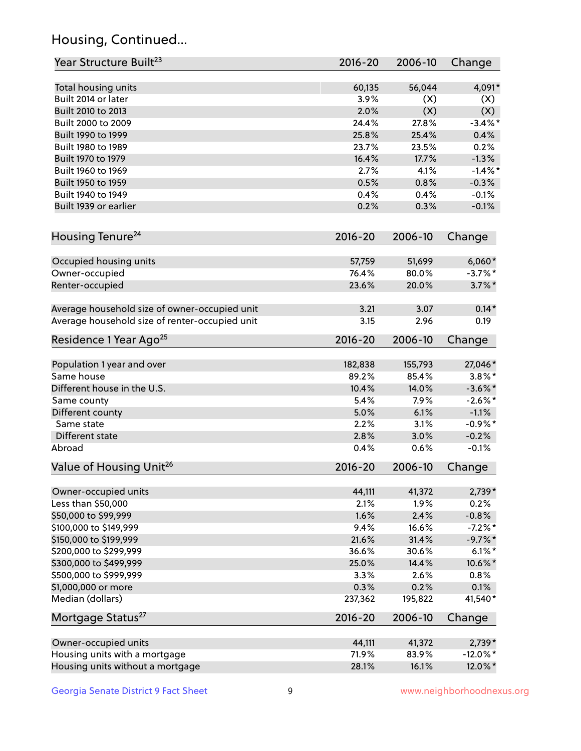## Housing, Continued...

| Year Structure Built <sup>23</sup>             | 2016-20     | 2006-10 | Change      |
|------------------------------------------------|-------------|---------|-------------|
| Total housing units                            | 60,135      | 56,044  | 4,091*      |
| Built 2014 or later                            | 3.9%        | (X)     | (X)         |
| Built 2010 to 2013                             | 2.0%        | (X)     | (X)         |
| Built 2000 to 2009                             | 24.4%       | 27.8%   | $-3.4\%$ *  |
| Built 1990 to 1999                             | 25.8%       | 25.4%   | 0.4%        |
| Built 1980 to 1989                             | 23.7%       | 23.5%   | 0.2%        |
| Built 1970 to 1979                             | 16.4%       | 17.7%   | $-1.3%$     |
| Built 1960 to 1969                             | 2.7%        | 4.1%    | $-1.4%$ *   |
| Built 1950 to 1959                             | 0.5%        | 0.8%    | $-0.3%$     |
| Built 1940 to 1949                             | 0.4%        | 0.4%    | $-0.1%$     |
| Built 1939 or earlier                          | 0.2%        | 0.3%    | $-0.1%$     |
|                                                |             |         |             |
| Housing Tenure <sup>24</sup>                   | $2016 - 20$ | 2006-10 | Change      |
| Occupied housing units                         | 57,759      | 51,699  | $6,060*$    |
| Owner-occupied                                 | 76.4%       | 80.0%   | $-3.7\%$ *  |
| Renter-occupied                                | 23.6%       | 20.0%   | $3.7\%$ *   |
| Average household size of owner-occupied unit  | 3.21        | 3.07    | $0.14*$     |
| Average household size of renter-occupied unit | 3.15        | 2.96    | 0.19        |
| Residence 1 Year Ago <sup>25</sup>             | $2016 - 20$ | 2006-10 | Change      |
| Population 1 year and over                     | 182,838     | 155,793 | 27,046*     |
| Same house                                     | 89.2%       | 85.4%   | $3.8\%$ *   |
| Different house in the U.S.                    | 10.4%       | 14.0%   | $-3.6\%$ *  |
| Same county                                    | 5.4%        | 7.9%    | $-2.6\%$ *  |
| Different county                               | 5.0%        | 6.1%    | $-1.1%$     |
| Same state                                     | 2.2%        | 3.1%    | $-0.9%$ *   |
| Different state                                | 2.8%        | 3.0%    | $-0.2%$     |
| Abroad                                         | 0.4%        | 0.6%    | $-0.1%$     |
|                                                |             |         |             |
| Value of Housing Unit <sup>26</sup>            | $2016 - 20$ | 2006-10 | Change      |
| Owner-occupied units                           | 44,111      | 41,372  | $2,739*$    |
| Less than \$50,000                             | 2.1%        | 1.9%    | 0.2%        |
| \$50,000 to \$99,999                           | 1.6%        | 2.4%    | $-0.8%$     |
| \$100,000 to \$149,999                         | 9.4%        | 16.6%   | $-7.2%$ *   |
| \$150,000 to \$199,999                         | 21.6%       | 31.4%   | $-9.7\%$ *  |
| \$200,000 to \$299,999                         | 36.6%       | 30.6%   | $6.1\%$ *   |
| \$300,000 to \$499,999                         | 25.0%       | 14.4%   | 10.6%*      |
| \$500,000 to \$999,999                         | 3.3%        | 2.6%    | 0.8%        |
| \$1,000,000 or more                            | 0.3%        | 0.2%    | 0.1%        |
| Median (dollars)                               | 237,362     | 195,822 | 41,540*     |
| Mortgage Status <sup>27</sup>                  | $2016 - 20$ | 2006-10 | Change      |
| Owner-occupied units                           | 44,111      | 41,372  | $2,739*$    |
| Housing units with a mortgage                  | 71.9%       | 83.9%   | $-12.0\%$ * |
| Housing units without a mortgage               | 28.1%       | 16.1%   | 12.0%*      |
|                                                |             |         |             |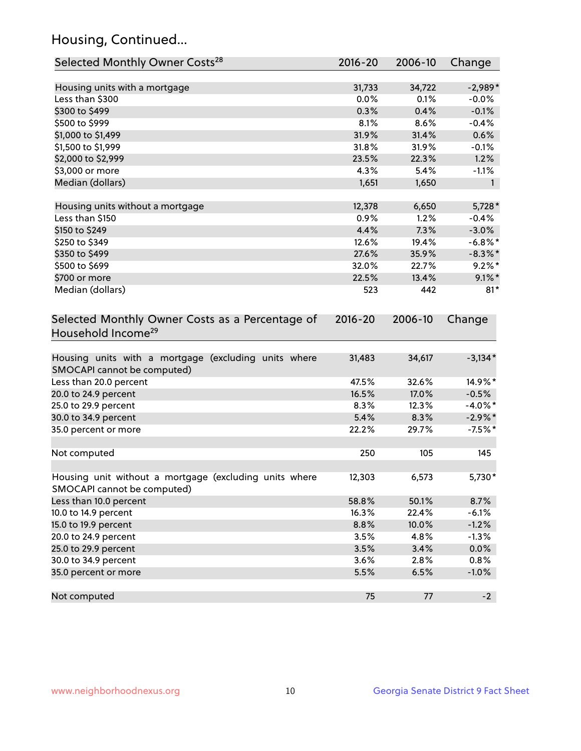## Housing, Continued...

| Selected Monthly Owner Costs <sup>28</sup>                                            | $2016 - 20$ | 2006-10 | Change       |
|---------------------------------------------------------------------------------------|-------------|---------|--------------|
| Housing units with a mortgage                                                         | 31,733      | 34,722  | $-2,989*$    |
| Less than \$300                                                                       | 0.0%        | 0.1%    | $-0.0%$      |
| \$300 to \$499                                                                        | 0.3%        | 0.4%    | $-0.1%$      |
| \$500 to \$999                                                                        | 8.1%        | 8.6%    | $-0.4%$      |
| \$1,000 to \$1,499                                                                    | 31.9%       | 31.4%   | 0.6%         |
| \$1,500 to \$1,999                                                                    | 31.8%       | 31.9%   | $-0.1%$      |
| \$2,000 to \$2,999                                                                    | 23.5%       | 22.3%   | 1.2%         |
| \$3,000 or more                                                                       | 4.3%        | 5.4%    | $-1.1%$      |
| Median (dollars)                                                                      | 1,651       | 1,650   | $\mathbf{1}$ |
| Housing units without a mortgage                                                      | 12,378      | 6,650   | $5,728*$     |
| Less than \$150                                                                       | 0.9%        | 1.2%    | $-0.4%$      |
| \$150 to \$249                                                                        | 4.4%        | 7.3%    | $-3.0%$      |
| \$250 to \$349                                                                        | 12.6%       | 19.4%   | $-6.8\%$ *   |
| \$350 to \$499                                                                        | 27.6%       | 35.9%   | $-8.3\%$ *   |
| \$500 to \$699                                                                        | 32.0%       | 22.7%   | $9.2\%$ *    |
| \$700 or more                                                                         | 22.5%       | 13.4%   | $9.1\%$ *    |
| Median (dollars)                                                                      | 523         | 442     | $81*$        |
| Selected Monthly Owner Costs as a Percentage of<br>Household Income <sup>29</sup>     | $2016 - 20$ | 2006-10 | Change       |
| Housing units with a mortgage (excluding units where<br>SMOCAPI cannot be computed)   | 31,483      | 34,617  | $-3,134*$    |
| Less than 20.0 percent                                                                | 47.5%       | 32.6%   | 14.9%*       |
| 20.0 to 24.9 percent                                                                  | 16.5%       | 17.0%   | $-0.5%$      |
| 25.0 to 29.9 percent                                                                  | 8.3%        | 12.3%   | $-4.0\%$ *   |
| 30.0 to 34.9 percent                                                                  | 5.4%        | 8.3%    | $-2.9\%$ *   |
| 35.0 percent or more                                                                  | 22.2%       | 29.7%   | $-7.5%$ *    |
| Not computed                                                                          | 250         | 105     | 145          |
| Housing unit without a mortgage (excluding units where<br>SMOCAPI cannot be computed) | 12,303      | 6,573   | 5,730*       |
| Less than 10.0 percent                                                                | 58.8%       | 50.1%   | 8.7%         |
| 10.0 to 14.9 percent                                                                  | 16.3%       | 22.4%   | $-6.1%$      |
| 15.0 to 19.9 percent                                                                  | 8.8%        | 10.0%   | $-1.2%$      |
| 20.0 to 24.9 percent                                                                  | 3.5%        | 4.8%    | $-1.3%$      |
| 25.0 to 29.9 percent                                                                  | 3.5%        | 3.4%    | 0.0%         |
| 30.0 to 34.9 percent                                                                  | 3.6%        | 2.8%    | 0.8%         |
| 35.0 percent or more                                                                  | 5.5%        | 6.5%    | $-1.0%$      |
| Not computed                                                                          | 75          | 77      | $-2$         |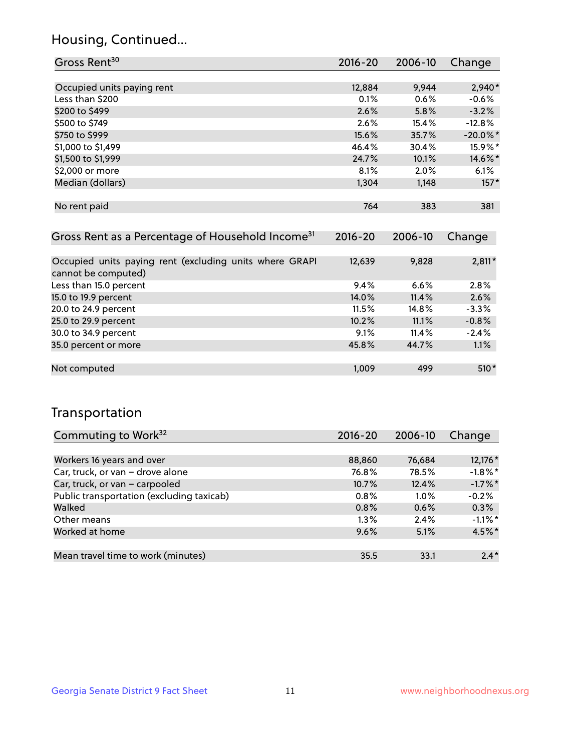## Housing, Continued...

| Gross Rent <sup>30</sup>                                                       | 2016-20     | 2006-10 | Change      |
|--------------------------------------------------------------------------------|-------------|---------|-------------|
|                                                                                |             |         |             |
| Occupied units paying rent                                                     | 12,884      | 9,944   | 2,940*      |
| Less than \$200                                                                | 0.1%        | 0.6%    | $-0.6%$     |
| \$200 to \$499                                                                 | 2.6%        | 5.8%    | $-3.2%$     |
| \$500 to \$749                                                                 | $2.6\%$     | 15.4%   | $-12.8%$    |
| \$750 to \$999                                                                 | 15.6%       | 35.7%   | $-20.0\%$ * |
| \$1,000 to \$1,499                                                             | 46.4%       | 30.4%   | 15.9%*      |
| \$1,500 to \$1,999                                                             | 24.7%       | 10.1%   | 14.6%*      |
| \$2,000 or more                                                                | 8.1%        | 2.0%    | 6.1%        |
| Median (dollars)                                                               | 1,304       | 1,148   | $157*$      |
|                                                                                |             |         |             |
| No rent paid                                                                   | 764         | 383     | 381         |
|                                                                                |             |         |             |
| Gross Rent as a Percentage of Household Income <sup>31</sup>                   | $2016 - 20$ | 2006-10 | Change      |
|                                                                                |             |         |             |
| Occupied units paying rent (excluding units where GRAPI<br>cannot he computed) | 12,639      | 9,828   | $2,811*$    |

| cannot be computed)    |       |          |         |
|------------------------|-------|----------|---------|
| Less than 15.0 percent | 9.4%  | 6.6%     | $2.8\%$ |
| 15.0 to 19.9 percent   | 14.0% | 11.4%    | 2.6%    |
| 20.0 to 24.9 percent   | 11.5% | $14.8\%$ | $-3.3%$ |
| 25.0 to 29.9 percent   | 10.2% | 11.1%    | $-0.8%$ |
| 30.0 to 34.9 percent   | 9.1%  | 11.4%    | $-2.4%$ |
| 35.0 percent or more   | 45.8% | 44.7%    | 1.1%    |
|                        |       |          |         |
| Not computed           | 1,009 | 499      | $510*$  |

## Transportation

| Commuting to Work <sup>32</sup>           | 2016-20  | 2006-10 | Change     |
|-------------------------------------------|----------|---------|------------|
|                                           |          |         |            |
| Workers 16 years and over                 | 88,860   | 76,684  | 12,176 *   |
| Car, truck, or van - drove alone          | 76.8%    | 78.5%   | $-1.8\%$ * |
| Car, truck, or van - carpooled            | $10.7\%$ | 12.4%   | $-1.7\%$ * |
| Public transportation (excluding taxicab) | 0.8%     | $1.0\%$ | $-0.2%$    |
| Walked                                    | 0.8%     | 0.6%    | 0.3%       |
| Other means                               | $1.3\%$  | 2.4%    | $-1.1\%$ * |
| Worked at home                            | 9.6%     | 5.1%    | 4.5%*      |
|                                           |          |         |            |
| Mean travel time to work (minutes)        | 35.5     | 33.1    | $2.4*$     |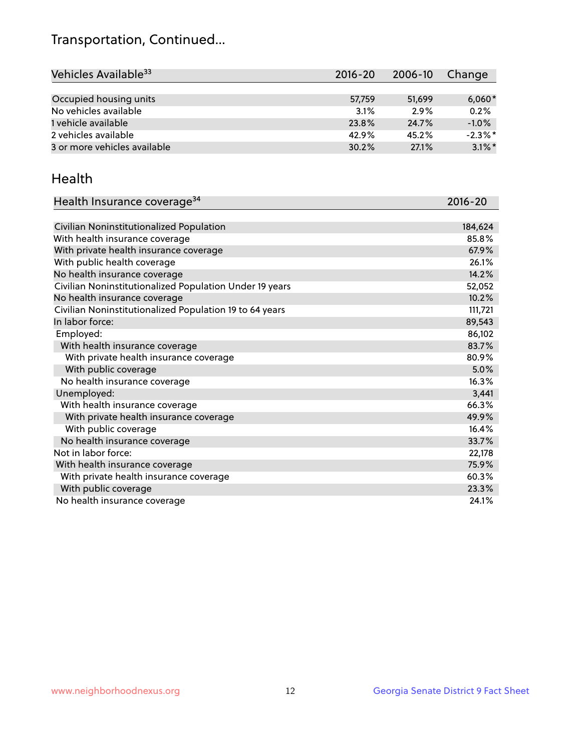## Transportation, Continued...

| Vehicles Available <sup>33</sup> | $2016 - 20$ | $2006 - 10$ | Change     |
|----------------------------------|-------------|-------------|------------|
|                                  |             |             |            |
| Occupied housing units           | 57,759      | 51,699      | $6,060*$   |
| No vehicles available            | 3.1%        | 2.9%        | 0.2%       |
| 1 vehicle available              | 23.8%       | 24.7%       | $-1.0%$    |
| 2 vehicles available             | 42.9%       | 45.2%       | $-2.3\%$ * |
| 3 or more vehicles available     | 30.2%       | 27.1%       | $3.1\%$ *  |

#### Health

| Health Insurance coverage <sup>34</sup>                 | 2016-20 |
|---------------------------------------------------------|---------|
|                                                         |         |
| Civilian Noninstitutionalized Population                | 184,624 |
| With health insurance coverage                          | 85.8%   |
| With private health insurance coverage                  | 67.9%   |
| With public health coverage                             | 26.1%   |
| No health insurance coverage                            | 14.2%   |
| Civilian Noninstitutionalized Population Under 19 years | 52,052  |
| No health insurance coverage                            | 10.2%   |
| Civilian Noninstitutionalized Population 19 to 64 years | 111,721 |
| In labor force:                                         | 89,543  |
| Employed:                                               | 86,102  |
| With health insurance coverage                          | 83.7%   |
| With private health insurance coverage                  | 80.9%   |
| With public coverage                                    | 5.0%    |
| No health insurance coverage                            | 16.3%   |
| Unemployed:                                             | 3,441   |
| With health insurance coverage                          | 66.3%   |
| With private health insurance coverage                  | 49.9%   |
| With public coverage                                    | 16.4%   |
| No health insurance coverage                            | 33.7%   |
| Not in labor force:                                     | 22,178  |
| With health insurance coverage                          | 75.9%   |
| With private health insurance coverage                  | 60.3%   |
| With public coverage                                    | 23.3%   |
| No health insurance coverage                            | 24.1%   |